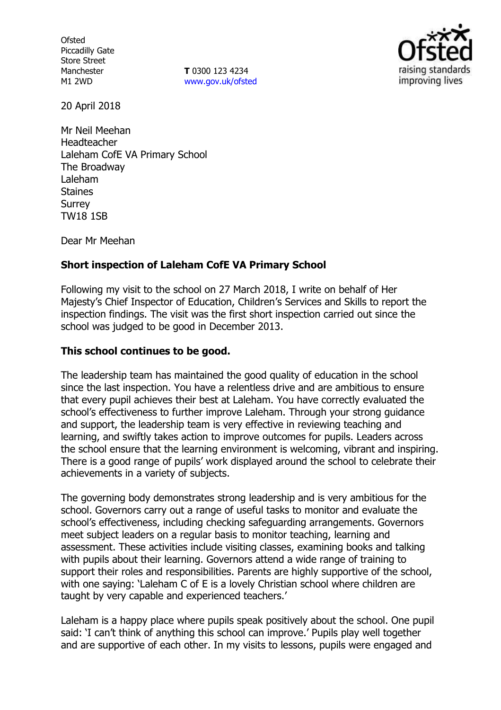**Ofsted** Piccadilly Gate Store Street Manchester M1 2WD

**T** 0300 123 4234 www.gov.uk/ofsted



20 April 2018

Mr Neil Meehan Headteacher Laleham CofE VA Primary School The Broadway Laleham **Staines** Surrey TW18 1SB

Dear Mr Meehan

## **Short inspection of Laleham CofE VA Primary School**

Following my visit to the school on 27 March 2018, I write on behalf of Her Majesty's Chief Inspector of Education, Children's Services and Skills to report the inspection findings. The visit was the first short inspection carried out since the school was judged to be good in December 2013.

### **This school continues to be good.**

The leadership team has maintained the good quality of education in the school since the last inspection. You have a relentless drive and are ambitious to ensure that every pupil achieves their best at Laleham. You have correctly evaluated the school's effectiveness to further improve Laleham. Through your strong guidance and support, the leadership team is very effective in reviewing teaching and learning, and swiftly takes action to improve outcomes for pupils. Leaders across the school ensure that the learning environment is welcoming, vibrant and inspiring. There is a good range of pupils' work displayed around the school to celebrate their achievements in a variety of subjects.

The governing body demonstrates strong leadership and is very ambitious for the school. Governors carry out a range of useful tasks to monitor and evaluate the school's effectiveness, including checking safeguarding arrangements. Governors meet subject leaders on a regular basis to monitor teaching, learning and assessment. These activities include visiting classes, examining books and talking with pupils about their learning. Governors attend a wide range of training to support their roles and responsibilities. Parents are highly supportive of the school, with one saying: 'Laleham C of E is a lovely Christian school where children are taught by very capable and experienced teachers.'

Laleham is a happy place where pupils speak positively about the school. One pupil said: 'I can't think of anything this school can improve.' Pupils play well together and are supportive of each other. In my visits to lessons, pupils were engaged and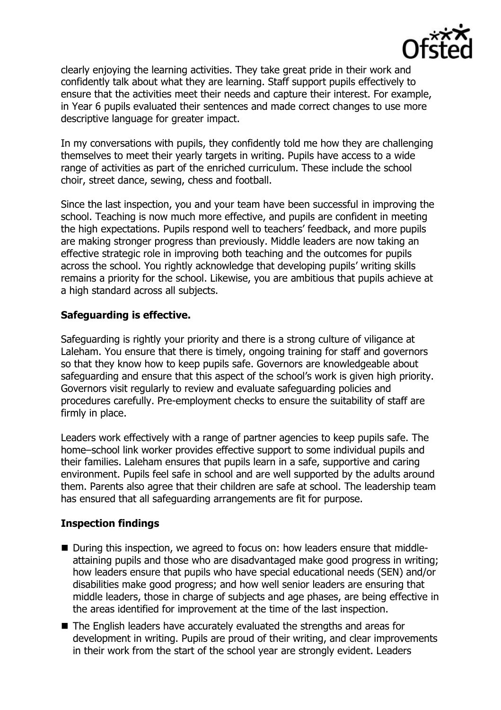

clearly enjoying the learning activities. They take great pride in their work and confidently talk about what they are learning. Staff support pupils effectively to ensure that the activities meet their needs and capture their interest. For example, in Year 6 pupils evaluated their sentences and made correct changes to use more descriptive language for greater impact.

In my conversations with pupils, they confidently told me how they are challenging themselves to meet their yearly targets in writing. Pupils have access to a wide range of activities as part of the enriched curriculum. These include the school choir, street dance, sewing, chess and football.

Since the last inspection, you and your team have been successful in improving the school. Teaching is now much more effective, and pupils are confident in meeting the high expectations. Pupils respond well to teachers' feedback, and more pupils are making stronger progress than previously. Middle leaders are now taking an effective strategic role in improving both teaching and the outcomes for pupils across the school. You rightly acknowledge that developing pupils' writing skills remains a priority for the school. Likewise, you are ambitious that pupils achieve at a high standard across all subjects.

# **Safeguarding is effective.**

Safeguarding is rightly your priority and there is a strong culture of viligance at Laleham. You ensure that there is timely, ongoing training for staff and governors so that they know how to keep pupils safe. Governors are knowledgeable about safeguarding and ensure that this aspect of the school's work is given high priority. Governors visit regularly to review and evaluate safeguarding policies and procedures carefully. Pre-employment checks to ensure the suitability of staff are firmly in place.

Leaders work effectively with a range of partner agencies to keep pupils safe. The home–school link worker provides effective support to some individual pupils and their families. Laleham ensures that pupils learn in a safe, supportive and caring environment. Pupils feel safe in school and are well supported by the adults around them. Parents also agree that their children are safe at school. The leadership team has ensured that all safeguarding arrangements are fit for purpose.

### **Inspection findings**

- During this inspection, we agreed to focus on: how leaders ensure that middleattaining pupils and those who are disadvantaged make good progress in writing; how leaders ensure that pupils who have special educational needs (SEN) and/or disabilities make good progress; and how well senior leaders are ensuring that middle leaders, those in charge of subjects and age phases, are being effective in the areas identified for improvement at the time of the last inspection.
- The English leaders have accurately evaluated the strengths and areas for development in writing. Pupils are proud of their writing, and clear improvements in their work from the start of the school year are strongly evident. Leaders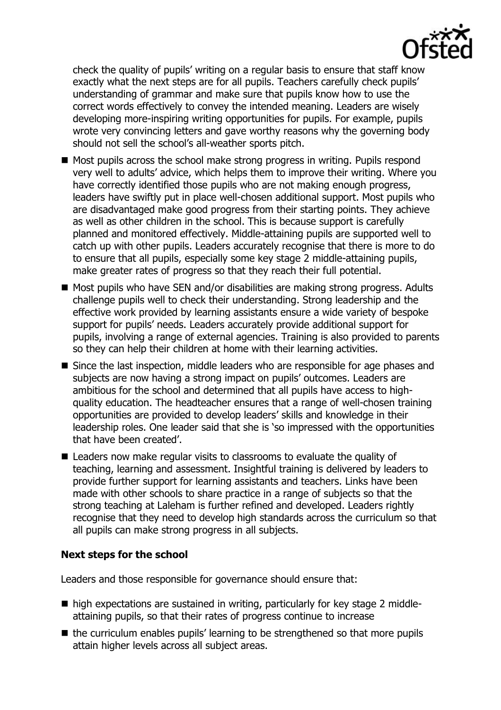check the quality of pupils' writing on a regular basis to ensure that staff know exactly what the next steps are for all pupils. Teachers carefully check pupils' understanding of grammar and make sure that pupils know how to use the correct words effectively to convey the intended meaning. Leaders are wisely developing more-inspiring writing opportunities for pupils. For example, pupils wrote very convincing letters and gave worthy reasons why the governing body should not sell the school's all-weather sports pitch.

- $\blacksquare$  Most pupils across the school make strong progress in writing. Pupils respond very well to adults' advice, which helps them to improve their writing. Where you have correctly identified those pupils who are not making enough progress, leaders have swiftly put in place well-chosen additional support. Most pupils who are disadvantaged make good progress from their starting points. They achieve as well as other children in the school. This is because support is carefully planned and monitored effectively. Middle-attaining pupils are supported well to catch up with other pupils. Leaders accurately recognise that there is more to do to ensure that all pupils, especially some key stage 2 middle-attaining pupils, make greater rates of progress so that they reach their full potential.
- Most pupils who have SEN and/or disabilities are making strong progress. Adults challenge pupils well to check their understanding. Strong leadership and the effective work provided by learning assistants ensure a wide variety of bespoke support for pupils' needs. Leaders accurately provide additional support for pupils, involving a range of external agencies. Training is also provided to parents so they can help their children at home with their learning activities.
- Since the last inspection, middle leaders who are responsible for age phases and subjects are now having a strong impact on pupils' outcomes. Leaders are ambitious for the school and determined that all pupils have access to highquality education. The headteacher ensures that a range of well-chosen training opportunities are provided to develop leaders' skills and knowledge in their leadership roles. One leader said that she is 'so impressed with the opportunities that have been created'.
- $\blacksquare$  Leaders now make regular visits to classrooms to evaluate the quality of teaching, learning and assessment. Insightful training is delivered by leaders to provide further support for learning assistants and teachers. Links have been made with other schools to share practice in a range of subjects so that the strong teaching at Laleham is further refined and developed. Leaders rightly recognise that they need to develop high standards across the curriculum so that all pupils can make strong progress in all subjects.

# **Next steps for the school**

Leaders and those responsible for governance should ensure that:

- high expectations are sustained in writing, particularly for key stage 2 middleattaining pupils, so that their rates of progress continue to increase
- $\blacksquare$  the curriculum enables pupils' learning to be strengthened so that more pupils attain higher levels across all subject areas.